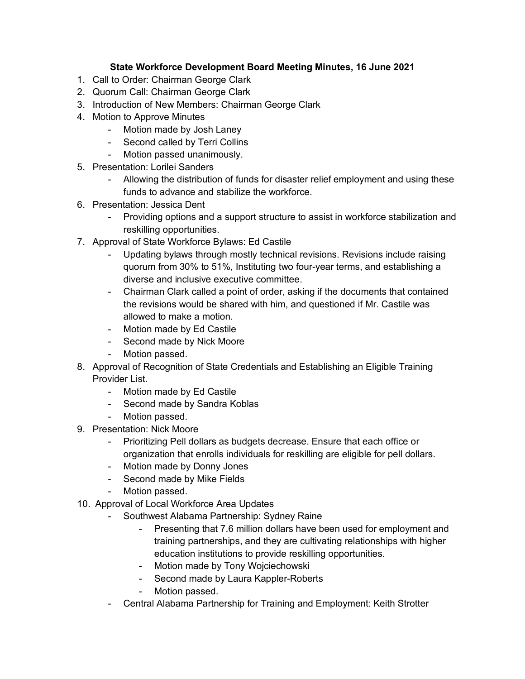## **State Workforce Development Board Meeting Minutes, 16 June 2021**

- 1. Call to Order: Chairman George Clark
- 2. Quorum Call: Chairman George Clark
- 3. Introduction of New Members: Chairman George Clark
- 4. Motion to Approve Minutes
	- Motion made by Josh Laney
	- Second called by Terri Collins
	- Motion passed unanimously.
- 5. Presentation: Lorilei Sanders
	- Allowing the distribution of funds for disaster relief employment and using these funds to advance and stabilize the workforce.
- 6. Presentation: Jessica Dent
	- Providing options and a support structure to assist in workforce stabilization and reskilling opportunities.
- 7. Approval of State Workforce Bylaws: Ed Castile
	- Updating bylaws through mostly technical revisions. Revisions include raising quorum from 30% to 51%, Instituting two four-year terms, and establishing a diverse and inclusive executive committee.
	- Chairman Clark called a point of order, asking if the documents that contained the revisions would be shared with him, and questioned if Mr. Castile was allowed to make a motion.
	- Motion made by Ed Castile
	- Second made by Nick Moore
	- Motion passed.
- 8. Approval of Recognition of State Credentials and Establishing an Eligible Training Provider List.
	- Motion made by Ed Castile
	- Second made by Sandra Koblas
	- Motion passed.
- 9. Presentation: Nick Moore
	- Prioritizing Pell dollars as budgets decrease. Ensure that each office or organization that enrolls individuals for reskilling are eligible for pell dollars.
	- Motion made by Donny Jones
	- Second made by Mike Fields
	- Motion passed.
- 10. Approval of Local Workforce Area Updates
	- Southwest Alabama Partnership: Sydney Raine
		- Presenting that 7.6 million dollars have been used for employment and training partnerships, and they are cultivating relationships with higher education institutions to provide reskilling opportunities.
		- Motion made by Tony Wojciechowski
		- Second made by Laura Kappler-Roberts
		- Motion passed.
	- Central Alabama Partnership for Training and Employment: Keith Strotter